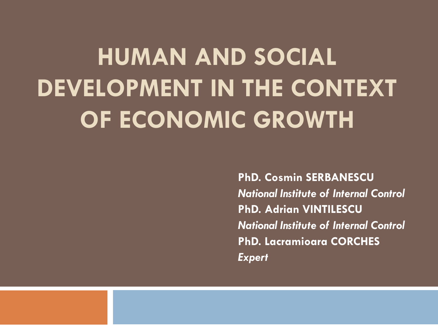# **HUMAN AND SOCIAL DEVELOPMENT IN THE CONTEXT OF ECONOMIC GROWTH**

**PhD. Cosmin SERBANESCU**  *National Institute of Internal Control* **PhD. Adrian VINTILESCU**  *National Institute of Internal Control* **PhD. Lacramioara CORCHES**  *Expert*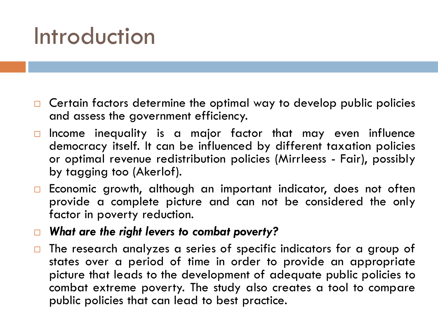## Introduction

- $\Box$  Certain factors determine the optimal way to develop public policies and assess the government efficiency.
- $\Box$  Income inequality is a major factor that may even influence democracy itself. It can be influenced by different taxation policies or optimal revenue redistribution policies (Mirrleess - Fair), possibly by tagging too (Akerlof).
- $\Box$  Economic growth, although an important indicator, does not often provide a complete picture and can not be considered the only factor in poverty reduction.
- *What are the right levers to combat poverty?*
- $\Box$  The research analyzes a series of specific indicators for a group of states over a period of time in order to provide an appropriate picture that leads to the development of adequate public policies to combat extreme poverty. The study also creates a tool to compare public policies that can lead to best practice.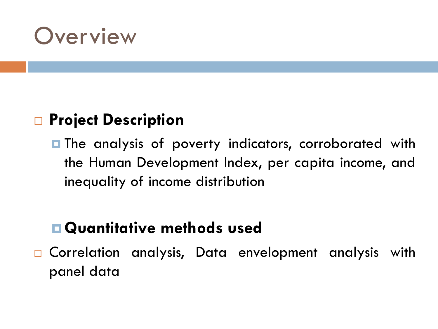### **Overview**

#### **□ Project Description**

**The analysis of poverty indicators, corroborated with** the Human Development Index, per capita income, and inequality of income distribution

#### **Quantitative methods used**

□ Correlation analysis, Data envelopment analysis with panel data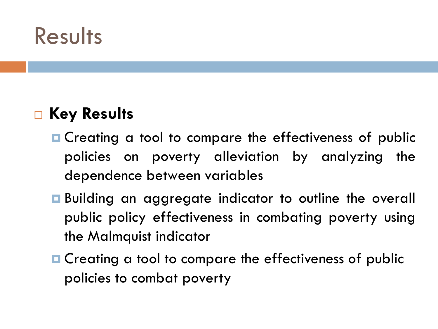### **Results**

#### ■ Key Results

- **□** Creating a tool to compare the effectiveness of public policies on poverty alleviation by analyzing the dependence between variables
- **E** Building an aggregate indicator to outline the overall public policy effectiveness in combating poverty using the Malmquist indicator
- **□** Creating a tool to compare the effectiveness of public policies to combat poverty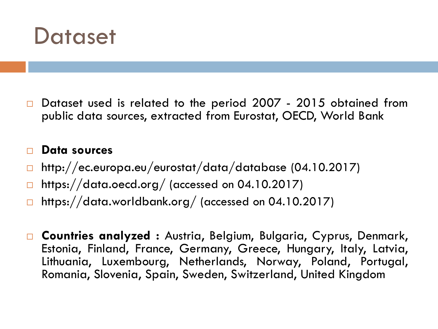

 $\square$  Dataset used is related to the period 2007 - 2015 obtained from public data sources, extracted from Eurostat, OECD, World Bank

#### **Data sources**

- http://ec.europa.eu/eurostat/data/database (04.10.2017)
- $\Box$  https://data.oecd.org/ (accessed on 04.10.2017)
- $\Box$  https://data.worldbank.org/ (accessed on 04.10.2017)
- **Countries analyzed :** Austria, Belgium, Bulgaria, Cyprus, Denmark, Estonia, Finland, France, Germany, Greece, Hungary, Italy, Latvia, Lithuania, Luxembourg, Netherlands, Norway, Poland, Portugal, Romania, Slovenia, Spain, Sweden, Switzerland, United Kingdom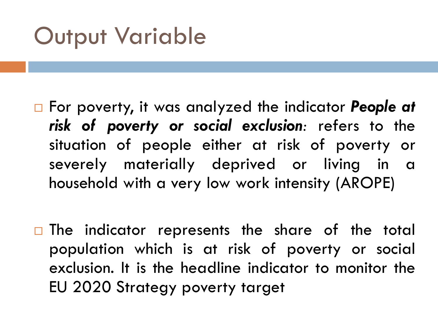# Output Variable

- For poverty, it was analyzed the indicator *People at risk of poverty or social exclusion:* refers to the situation of people either at risk of poverty or severely materially deprived or living in a household with a very low work intensity (AROPE)
- $\Box$  The indicator represents the share of the total population which is at risk of poverty or social exclusion. It is the headline indicator to monitor the EU 2020 Strategy poverty target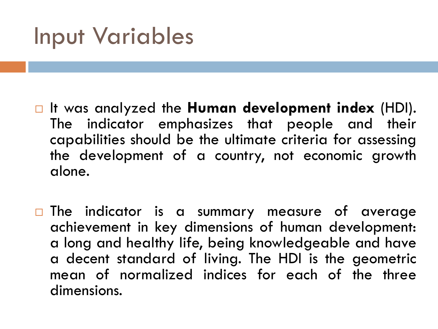## Input Variables

- It was analyzed the **Human development index** (HDI). The indicator emphasizes that people and their capabilities should be the ultimate criteria for assessing the development of a country, not economic growth alone.
- $\Box$  The indicator is a summary measure of average achievement in key dimensions of human development: a long and healthy life, being knowledgeable and have a decent standard of living. The HDI is the geometric mean of normalized indices for each of the three dimensions.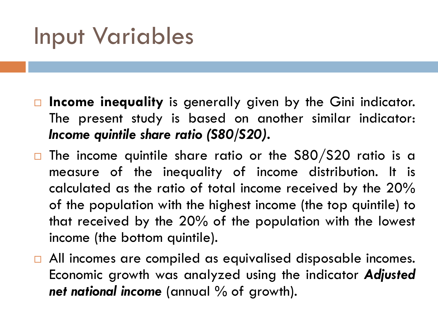## Input Variables

- **Income inequality** is generally given by the Gini indicator. The present study is based on another similar indicator: *Income quintile share ratio (S80/S20)***.**
- $\Box$  The income quintile share ratio or the S80/S20 ratio is a measure of the inequality of income distribution. It is calculated as the ratio of total income received by the 20% of the population with the highest income (the top quintile) to that received by the 20% of the population with the lowest income (the bottom quintile).
- □ All incomes are compiled as equivalised disposable incomes. Economic growth was analyzed using the indicator *Adjusted net national income* (annual % of growth).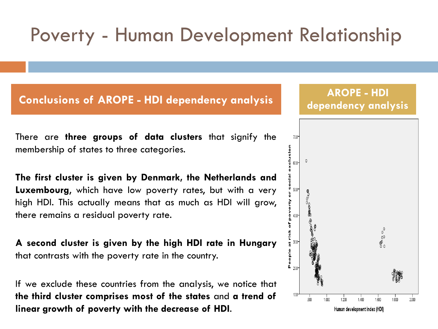#### Poverty - Human Development Relationship

#### **Conclusions of AROPE - HDI dependency analysis AROPE - HDI**

There are **three groups of data clusters** that signify the membership of states to three categories.

**The first cluster is given by Denmark, the Netherlands and Luxembourg**, which have low poverty rates, but with a very high HDI. This actually means that as much as HDI will grow, there remains a residual poverty rate.

**A second cluster is given by the high HDI rate in Hungary** that contrasts with the poverty rate in the country.

If we exclude these countries from the analysis, we notice that **the third cluster comprises most of the states** and **a trend of linear growth of poverty with the decrease of HDI**.

**dependency analysis**

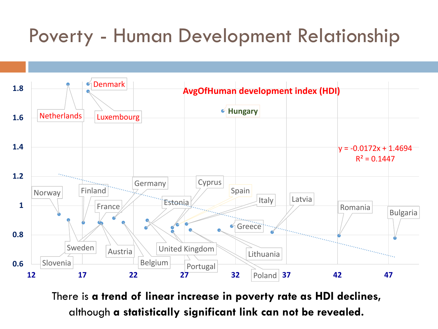#### Poverty - Human Development Relationship



There is **a trend of linear increase in poverty rate as HDI declines,**  although **a statistically significant link can not be revealed.**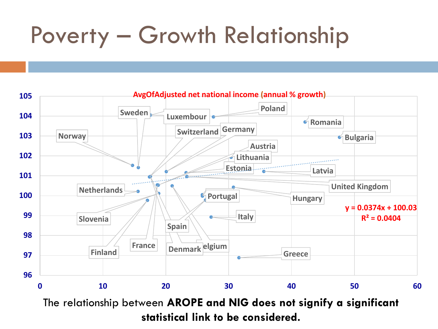# Poverty – Growth Relationship



**statistical link to be considered.**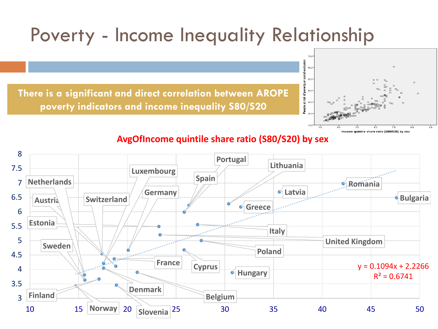#### Poverty - Income Inequality Relationship

**There is a significant and direct correlation between AROPE poverty indicators and income inequality S80/S20**



#### **AvgOfIncome quintile share ratio (S80/S20) by sex**

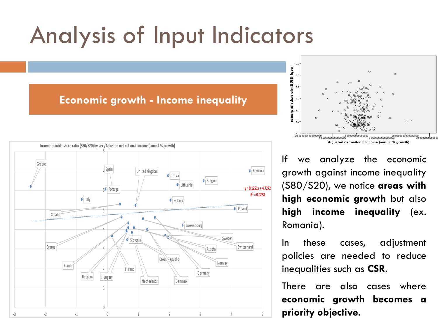# Analysis of Input Indicators

#### **Economic growth - Income inequality**





If we analyze the economic growth against income inequality (S80/S20), we notice **areas with high economic growth** but also **high income inequality** (ex. Romania).

In these cases, adjustment policies are needed to reduce inequalities such as **CSR**.

There are also cases where **economic growth becomes a priority objective**.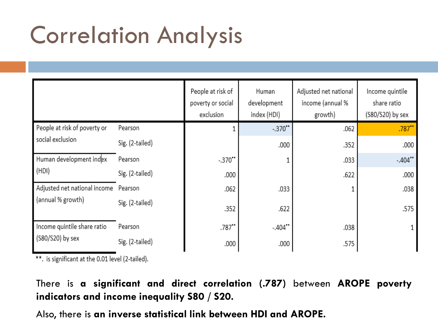# Correlation Analysis

|                                                           |                 | People at risk of<br>poverty or social<br>exclusion | Human<br>development<br>index (HDI) | Adjusted net national<br>income (annual %<br>growth) | Income quintile<br>share ratio<br>(S80/S20) by sex |
|-----------------------------------------------------------|-----------------|-----------------------------------------------------|-------------------------------------|------------------------------------------------------|----------------------------------------------------|
| People at risk of poverty or<br>social exclusion          | Pearson         |                                                     | $-.370"$                            | .062                                                 | .787                                               |
|                                                           | Sig. (2-tailed) |                                                     | .000                                | .352                                                 | .000                                               |
| Human development index<br>(HDI)                          | Pearson         | $-.370"$                                            |                                     | .033                                                 | $-.404"$                                           |
|                                                           | Sig. (2-tailed) | .000                                                |                                     | .622                                                 | .000                                               |
| Adjusted net national income Pearson<br>(annual % growth) |                 | .062                                                | .033                                |                                                      | .038                                               |
|                                                           | Sig. (2-tailed) | .352                                                | .622                                |                                                      | .575                                               |
| Income quintile share ratio<br>(S80/S20) by sex           | Pearson         | .787"                                               | $-.404"$                            | .038                                                 |                                                    |
|                                                           | Sig. (2-tailed) | .000                                                | .000                                | .575                                                 |                                                    |

\*\*. is significant at the 0.01 level (2-tailed).

There is **a significant and direct correlation (.787)** between **AROPE poverty indicators and income inequality S80 / S20.**

Also, there is **an inverse statistical link between HDI and AROPE.**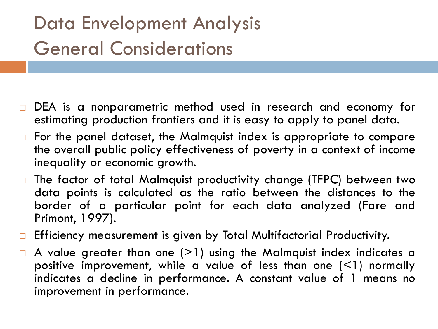#### Data Envelopment Analysis General Considerations

- DEA is a nonparametric method used in research and economy for estimating production frontiers and it is easy to apply to panel data.
- $\Box$  For the panel dataset, the Malmquist index is appropriate to compare the overall public policy effectiveness of poverty in a context of income inequality or economic growth.
- □ The factor of total Malmquist productivity change (TFPC) between two data points is calculated as the ratio between the distances to the border of a particular point for each data analyzed (Fare and Primont, 1997).
- **Efficiency measurement is given by Total Multifactorial Productivity.**
- $\Box$  A value greater than one (>1) using the Malmquist index indicates a positive improvement, while a value of less than one  $($  < 1) normally indicates a decline in performance. A constant value of 1 means no improvement in performance.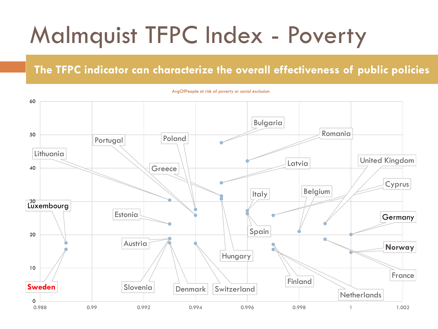# Malmquist TFPC Index - Poverty

#### **The TFPC indicator can characterize the overall effectiveness of public policies**



AvgOfPeople at risk of poverty or social exclusion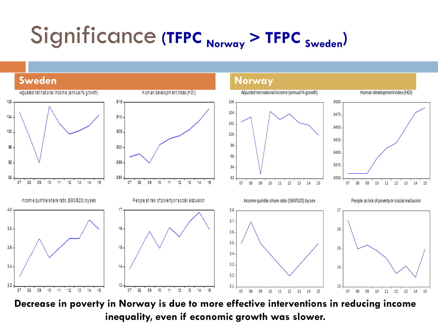# Significance **(TFPC Norway > TFPC Sweden)**



**Decrease in poverty in Norway is due to more effective interventions in reducing income inequality, even if economic growth was slower.**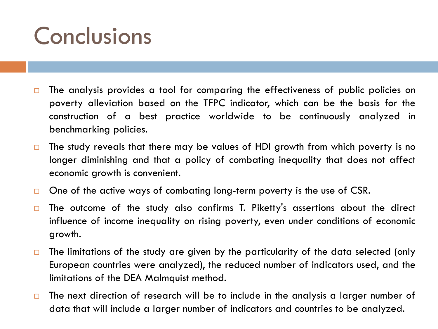## **Conclusions**

- $\square$  The analysis provides a tool for comparing the effectiveness of public policies on poverty alleviation based on the TFPC indicator, which can be the basis for the construction of a best practice worldwide to be continuously analyzed in benchmarking policies.
- $\Box$  The study reveals that there may be values of HDI growth from which poverty is no longer diminishing and that a policy of combating inequality that does not affect economic growth is convenient.
- $\Box$  One of the active ways of combating long-term poverty is the use of CSR.
- $\Box$  The outcome of the study also confirms T. Piketty's assertions about the direct influence of income inequality on rising poverty, even under conditions of economic growth.
- $\Box$  The limitations of the study are given by the particularity of the data selected (only European countries were analyzed), the reduced number of indicators used, and the limitations of the DEA Malmquist method.
- $\Box$  The next direction of research will be to include in the analysis a larger number of data that will include a larger number of indicators and countries to be analyzed.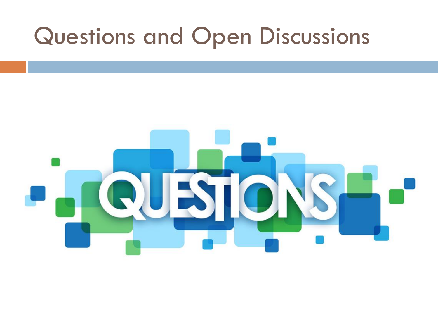### Questions and Open Discussions